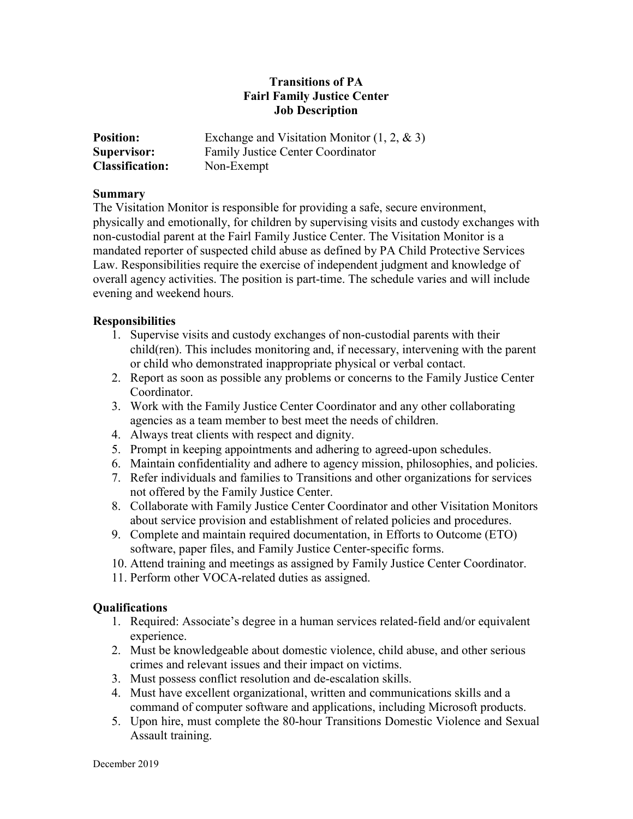## **Transitions of PA Fairl Family Justice Center Job Description**

| <b>Position:</b>       | Exchange and Visitation Monitor $(1, 2, \& 3)$ |
|------------------------|------------------------------------------------|
| Supervisor:            | Family Justice Center Coordinator              |
| <b>Classification:</b> | Non-Exempt                                     |

## **Summary**

The Visitation Monitor is responsible for providing a safe, secure environment, physically and emotionally, for children by supervising visits and custody exchanges with non-custodial parent at the Fairl Family Justice Center. The Visitation Monitor is a mandated reporter of suspected child abuse as defined by PA Child Protective Services Law. Responsibilities require the exercise of independent judgment and knowledge of overall agency activities. The position is part-time. The schedule varies and will include evening and weekend hours.

## **Responsibilities**

- 1. Supervise visits and custody exchanges of non-custodial parents with their child(ren). This includes monitoring and, if necessary, intervening with the parent or child who demonstrated inappropriate physical or verbal contact.
- 2. Report as soon as possible any problems or concerns to the Family Justice Center Coordinator.
- 3. Work with the Family Justice Center Coordinator and any other collaborating agencies as a team member to best meet the needs of children.
- 4. Always treat clients with respect and dignity.
- 5. Prompt in keeping appointments and adhering to agreed-upon schedules.
- 6. Maintain confidentiality and adhere to agency mission, philosophies, and policies.
- 7. Refer individuals and families to Transitions and other organizations for services not offered by the Family Justice Center.
- 8. Collaborate with Family Justice Center Coordinator and other Visitation Monitors about service provision and establishment of related policies and procedures.
- 9. Complete and maintain required documentation, in Efforts to Outcome (ETO) software, paper files, and Family Justice Center-specific forms.
- 10. Attend training and meetings as assigned by Family Justice Center Coordinator.
- 11. Perform other VOCA-related duties as assigned.

## **Qualifications**

- 1. Required: Associate's degree in a human services related-field and/or equivalent experience.
- 2. Must be knowledgeable about domestic violence, child abuse, and other serious crimes and relevant issues and their impact on victims.
- 3. Must possess conflict resolution and de-escalation skills.
- 4. Must have excellent organizational, written and communications skills and a command of computer software and applications, including Microsoft products.
- 5. Upon hire, must complete the 80-hour Transitions Domestic Violence and Sexual Assault training.